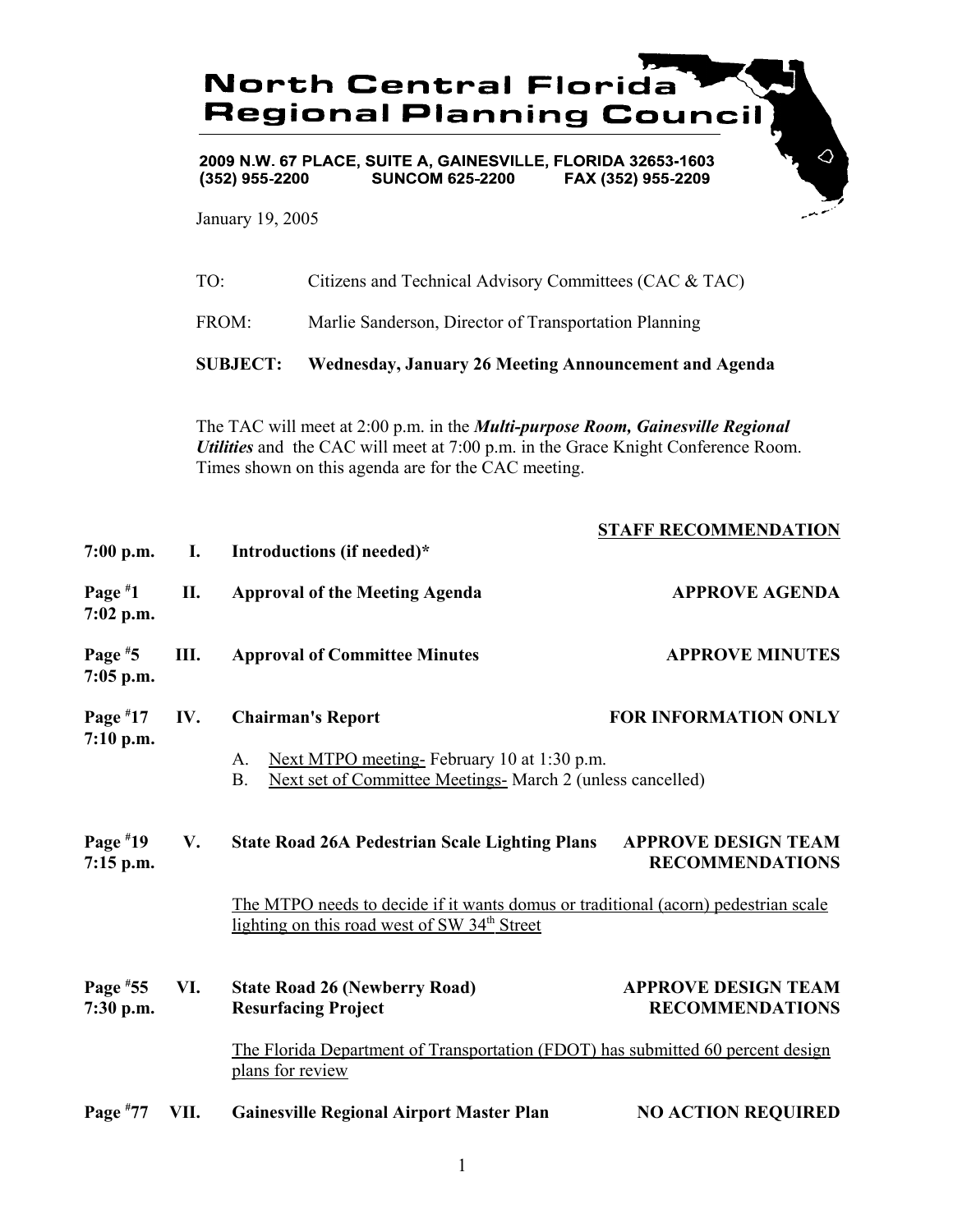

2009 N.W. 67 PLACE, SUITE A, GAINESVILLE, FLORIDA 32653-1603  $(352)$  955-2200 **SUNCOM 625-2200** FAX (352) 955-2209

January 19, 2005

| TO:             | Citizens and Technical Advisory Committees (CAC & TAC)       |
|-----------------|--------------------------------------------------------------|
| FROM:           | Marlie Sanderson, Director of Transportation Planning        |
| <b>SUBJECT:</b> | <b>Wednesday, January 26 Meeting Announcement and Agenda</b> |

The TAC will meet at 2:00 p.m. in the *Multi-purpose Room, Gainesville Regional Utilities* and the CAC will meet at 7:00 p.m. in the Grace Knight Conference Room. Times shown on this agenda are for the CAC meeting.

|                           |      |                                                                                                                                                | STAFF RECOMMENDATION                                 |
|---------------------------|------|------------------------------------------------------------------------------------------------------------------------------------------------|------------------------------------------------------|
| $7:00$ p.m.               | I.   | Introductions (if needed)*                                                                                                                     |                                                      |
| Page $*1$<br>$7:02$ p.m.  | II.  | <b>Approval of the Meeting Agenda</b>                                                                                                          | <b>APPROVE AGENDA</b>                                |
| Page $*5$<br>$7:05$ p.m.  | Ш.   | <b>Approval of Committee Minutes</b>                                                                                                           | <b>APPROVE MINUTES</b>                               |
| Page $*17$                | IV.  | <b>Chairman's Report</b>                                                                                                                       | <b>FOR INFORMATION ONLY</b>                          |
| $7:10$ p.m.               |      | Next MTPO meeting-February 10 at 1:30 p.m.<br>A.<br>Next set of Committee Meetings- March 2 (unless cancelled)<br><b>B.</b>                    |                                                      |
| Page $*19$<br>$7:15$ p.m. | V.   | <b>State Road 26A Pedestrian Scale Lighting Plans</b>                                                                                          | <b>APPROVE DESIGN TEAM</b><br><b>RECOMMENDATIONS</b> |
|                           |      | The MTPO needs to decide if it wants domus or traditional (acorn) pedestrian scale<br>lighting on this road west of SW 34 <sup>th</sup> Street |                                                      |
| Page $*55$<br>7:30 p.m.   | VI.  | <b>State Road 26 (Newberry Road)</b><br><b>Resurfacing Project</b>                                                                             | <b>APPROVE DESIGN TEAM</b><br><b>RECOMMENDATIONS</b> |
|                           |      | The Florida Department of Transportation (FDOT) has submitted 60 percent design<br>plans for review                                            |                                                      |
| Page $*77$                | VII. | <b>Gainesville Regional Airport Master Plan</b>                                                                                                | <b>NO ACTION REQUIRED</b>                            |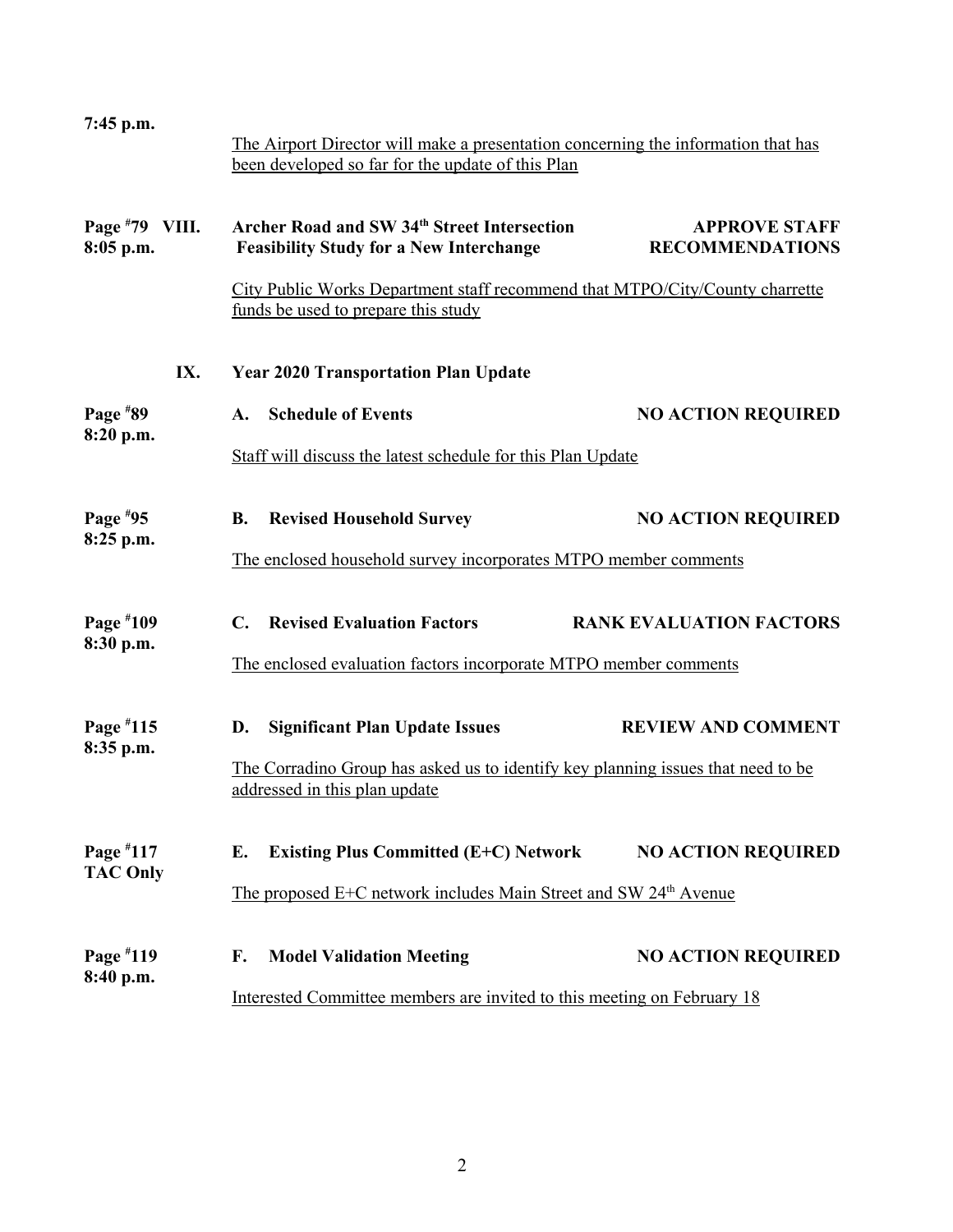| 7:45 p.m.                   | The Airport Director will make a presentation concerning the information that has<br>been developed so far for the update of this Plan |                                                |
|-----------------------------|----------------------------------------------------------------------------------------------------------------------------------------|------------------------------------------------|
| Page #79 VIII.<br>8:05 p.m. | <b>Archer Road and SW 34th Street Intersection</b><br><b>Feasibility Study for a New Interchange</b>                                   | <b>APPROVE STAFF</b><br><b>RECOMMENDATIONS</b> |
|                             | City Public Works Department staff recommend that MTPO/City/County charrette<br>funds be used to prepare this study                    |                                                |
| IX.                         | <b>Year 2020 Transportation Plan Update</b>                                                                                            |                                                |
| Page $*89$                  | <b>Schedule of Events</b><br>$\mathbf{A}$ .                                                                                            | <b>NO ACTION REQUIRED</b>                      |
| 8:20 p.m.                   | Staff will discuss the latest schedule for this Plan Update                                                                            |                                                |
| Page $*95$                  | <b>Revised Household Survey</b><br><b>B.</b>                                                                                           | <b>NO ACTION REQUIRED</b>                      |
| $8:25$ p.m.                 | The enclosed household survey incorporates MTPO member comments                                                                        |                                                |
| Page #109<br>8:30 p.m.      | <b>Revised Evaluation Factors</b><br>$\mathbf{C}$ .                                                                                    | <b>RANK EVALUATION FACTORS</b>                 |
|                             | The enclosed evaluation factors incorporate MTPO member comments                                                                       |                                                |
| Page #115                   | <b>Significant Plan Update Issues</b><br>D.                                                                                            | <b>REVIEW AND COMMENT</b>                      |
| 8:35 p.m.                   | The Corradino Group has asked us to identify key planning issues that need to be<br>addressed in this plan update                      |                                                |
| Page #117                   | <b>Existing Plus Committed (E+C) Network</b><br>E.                                                                                     | <b>NO ACTION REQUIRED</b>                      |
| <b>TAC Only</b>             | <u>The proposed E+C network includes Main Street and SW 24<sup>th</sup> Avenue</u>                                                     |                                                |
| Page #119<br>8:40 p.m.      | <b>Model Validation Meeting</b><br>F.                                                                                                  | <b>NO ACTION REQUIRED</b>                      |
|                             | Interested Committee members are invited to this meeting on February 18                                                                |                                                |